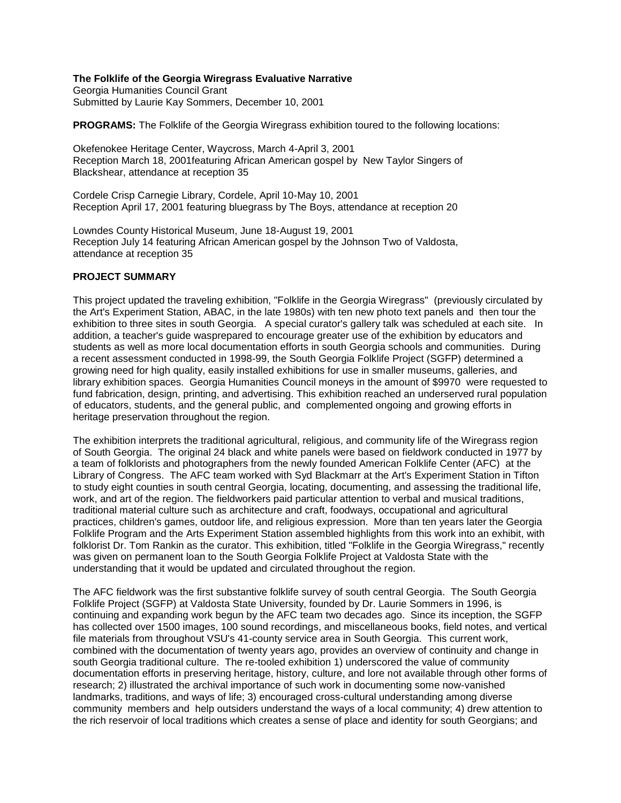#### **The Folklife of the Georgia Wiregrass Evaluative Narrative**

Georgia Humanities Council Grant Submitted by Laurie Kay Sommers, December 10, 2001

**PROGRAMS:** The Folklife of the Georgia Wiregrass exhibition toured to the following locations:

Okefenokee Heritage Center, Waycross, March 4-April 3, 2001 Reception March 18, 2001featuring African American gospel by New Taylor Singers of Blackshear, attendance at reception 35

Cordele Crisp Carnegie Library, Cordele, April 10-May 10, 2001 Reception April 17, 2001 featuring bluegrass by The Boys, attendance at reception 20

Lowndes County Historical Museum, June 18-August 19, 2001 Reception July 14 featuring African American gospel by the Johnson Two of Valdosta, attendance at reception 35

#### **PROJECT SUMMARY**

This project updated the traveling exhibition, "Folklife in the Georgia Wiregrass" (previously circulated by the Art's Experiment Station, ABAC, in the late 1980s) with ten new photo text panels and then tour the exhibition to three sites in south Georgia. A special curator's gallery talk was scheduled at each site. In addition, a teacher's guide wasprepared to encourage greater use of the exhibition by educators and students as well as more local documentation efforts in south Georgia schools and communities. During a recent assessment conducted in 1998-99, the South Georgia Folklife Project (SGFP) determined a growing need for high quality, easily installed exhibitions for use in smaller museums, galleries, and library exhibition spaces. Georgia Humanities Council moneys in the amount of \$9970 were requested to fund fabrication, design, printing, and advertising. This exhibition reached an underserved rural population of educators, students, and the general public, and complemented ongoing and growing efforts in heritage preservation throughout the region.

The exhibition interprets the traditional agricultural, religious, and community life of the Wiregrass region of South Georgia. The original 24 black and white panels were based on fieldwork conducted in 1977 by a team of folklorists and photographers from the newly founded American Folklife Center (AFC) at the Library of Congress. The AFC team worked with Syd Blackmarr at the Art's Experiment Station in Tifton to study eight counties in south central Georgia, locating, documenting, and assessing the traditional life, work, and art of the region. The fieldworkers paid particular attention to verbal and musical traditions, traditional material culture such as architecture and craft, foodways, occupational and agricultural practices, children's games, outdoor life, and religious expression. More than ten years later the Georgia Folklife Program and the Arts Experiment Station assembled highlights from this work into an exhibit, with folklorist Dr. Tom Rankin as the curator. This exhibition, titled "Folklife in the Georgia Wiregrass," recently was given on permanent loan to the South Georgia Folklife Project at Valdosta State with the understanding that it would be updated and circulated throughout the region.

The AFC fieldwork was the first substantive folklife survey of south central Georgia. The South Georgia Folklife Project (SGFP) at Valdosta State University, founded by Dr. Laurie Sommers in 1996, is continuing and expanding work begun by the AFC team two decades ago. Since its inception, the SGFP has collected over 1500 images, 100 sound recordings, and miscellaneous books, field notes, and vertical file materials from throughout VSU's 41-county service area in South Georgia. This current work, combined with the documentation of twenty years ago, provides an overview of continuity and change in south Georgia traditional culture. The re-tooled exhibition 1) underscored the value of community documentation efforts in preserving heritage, history, culture, and lore not available through other forms of research; 2) illustrated the archival importance of such work in documenting some now-vanished landmarks, traditions, and ways of life; 3) encouraged cross-cultural understanding among diverse community members and help outsiders understand the ways of a local community; 4) drew attention to the rich reservoir of local traditions which creates a sense of place and identity for south Georgians; and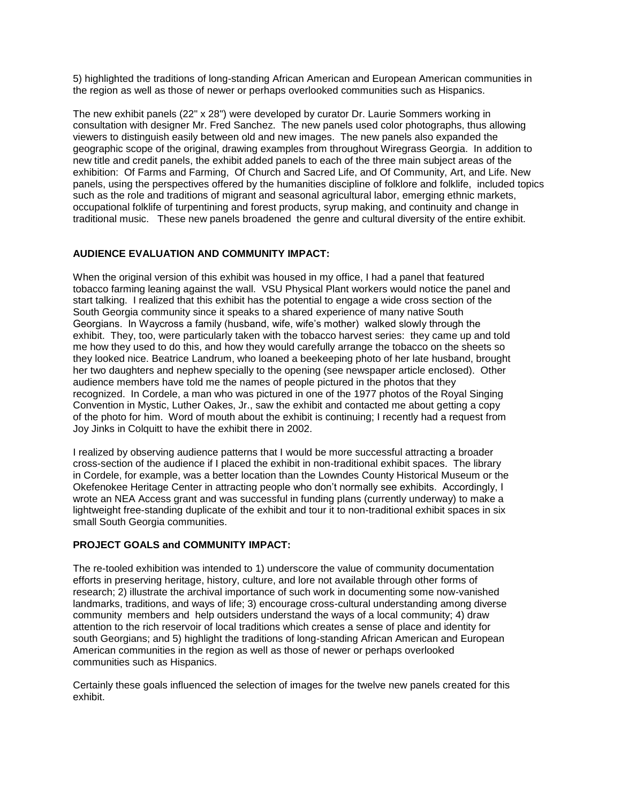5) highlighted the traditions of long-standing African American and European American communities in the region as well as those of newer or perhaps overlooked communities such as Hispanics.

The new exhibit panels (22" x 28") were developed by curator Dr. Laurie Sommers working in consultation with designer Mr. Fred Sanchez. The new panels used color photographs, thus allowing viewers to distinguish easily between old and new images. The new panels also expanded the geographic scope of the original, drawing examples from throughout Wiregrass Georgia. In addition to new title and credit panels, the exhibit added panels to each of the three main subject areas of the exhibition: Of Farms and Farming, Of Church and Sacred Life, and Of Community, Art, and Life. New panels, using the perspectives offered by the humanities discipline of folklore and folklife, included topics such as the role and traditions of migrant and seasonal agricultural labor, emerging ethnic markets, occupational folklife of turpentining and forest products, syrup making, and continuity and change in traditional music. These new panels broadened the genre and cultural diversity of the entire exhibit.

# **AUDIENCE EVALUATION AND COMMUNITY IMPACT:**

When the original version of this exhibit was housed in my office, I had a panel that featured tobacco farming leaning against the wall. VSU Physical Plant workers would notice the panel and start talking. I realized that this exhibit has the potential to engage a wide cross section of the South Georgia community since it speaks to a shared experience of many native South Georgians. In Waycross a family (husband, wife, wife's mother) walked slowly through the exhibit. They, too, were particularly taken with the tobacco harvest series: they came up and told me how they used to do this, and how they would carefully arrange the tobacco on the sheets so they looked nice. Beatrice Landrum, who loaned a beekeeping photo of her late husband, brought her two daughters and nephew specially to the opening (see newspaper article enclosed). Other audience members have told me the names of people pictured in the photos that they recognized. In Cordele, a man who was pictured in one of the 1977 photos of the Royal Singing Convention in Mystic, Luther Oakes, Jr., saw the exhibit and contacted me about getting a copy of the photo for him. Word of mouth about the exhibit is continuing; I recently had a request from Joy Jinks in Colquitt to have the exhibit there in 2002.

I realized by observing audience patterns that I would be more successful attracting a broader cross-section of the audience if I placed the exhibit in non-traditional exhibit spaces. The library in Cordele, for example, was a better location than the Lowndes County Historical Museum or the Okefenokee Heritage Center in attracting people who don't normally see exhibits. Accordingly, I wrote an NEA Access grant and was successful in funding plans (currently underway) to make a lightweight free-standing duplicate of the exhibit and tour it to non-traditional exhibit spaces in six small South Georgia communities.

# **PROJECT GOALS and COMMUNITY IMPACT:**

The re-tooled exhibition was intended to 1) underscore the value of community documentation efforts in preserving heritage, history, culture, and lore not available through other forms of research; 2) illustrate the archival importance of such work in documenting some now-vanished landmarks, traditions, and ways of life; 3) encourage cross-cultural understanding among diverse community members and help outsiders understand the ways of a local community; 4) draw attention to the rich reservoir of local traditions which creates a sense of place and identity for south Georgians; and 5) highlight the traditions of long-standing African American and European American communities in the region as well as those of newer or perhaps overlooked communities such as Hispanics.

Certainly these goals influenced the selection of images for the twelve new panels created for this exhibit.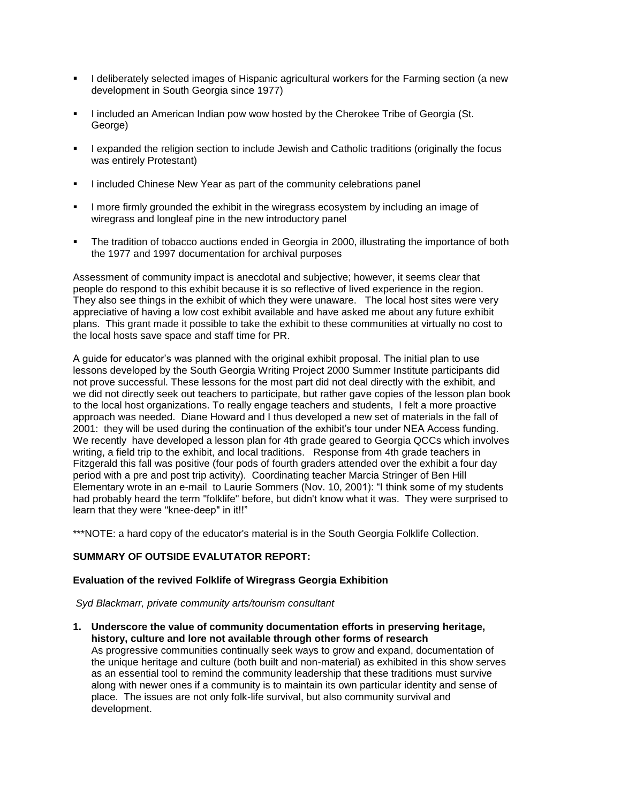- I deliberately selected images of Hispanic agricultural workers for the Farming section (a new development in South Georgia since 1977)
- I included an American Indian pow wow hosted by the Cherokee Tribe of Georgia (St. George)
- I expanded the religion section to include Jewish and Catholic traditions (originally the focus was entirely Protestant)
- I included Chinese New Year as part of the community celebrations panel
- I more firmly grounded the exhibit in the wiregrass ecosystem by including an image of wiregrass and longleaf pine in the new introductory panel
- The tradition of tobacco auctions ended in Georgia in 2000, illustrating the importance of both the 1977 and 1997 documentation for archival purposes

Assessment of community impact is anecdotal and subjective; however, it seems clear that people do respond to this exhibit because it is so reflective of lived experience in the region. They also see things in the exhibit of which they were unaware. The local host sites were very appreciative of having a low cost exhibit available and have asked me about any future exhibit plans. This grant made it possible to take the exhibit to these communities at virtually no cost to the local hosts save space and staff time for PR.

A guide for educator's was planned with the original exhibit proposal. The initial plan to use lessons developed by the South Georgia Writing Project 2000 Summer Institute participants did not prove successful. These lessons for the most part did not deal directly with the exhibit, and we did not directly seek out teachers to participate, but rather gave copies of the lesson plan book to the local host organizations. To really engage teachers and students, I felt a more proactive approach was needed. Diane Howard and I thus developed a new set of materials in the fall of 2001: they will be used during the continuation of the exhibit's tour under NEA Access funding. We recently have developed a lesson plan for 4th grade geared to Georgia QCCs which involves writing, a field trip to the exhibit, and local traditions. Response from 4th grade teachers in Fitzgerald this fall was positive (four pods of fourth graders attended over the exhibit a four day period with a pre and post trip activity). Coordinating teacher Marcia Stringer of Ben Hill Elementary wrote in an e-mail to Laurie Sommers (Nov. 10, 2001): "I think some of my students had probably heard the term "folklife" before, but didn't know what it was. They were surprised to learn that they were "knee-deep" in it!!"

\*\*\*NOTE: a hard copy of the educator's material is in the South Georgia Folklife Collection.

### **SUMMARY OF OUTSIDE EVALUTATOR REPORT:**

### **Evaluation of the revived Folklife of Wiregrass Georgia Exhibition**

*Syd Blackmarr, private community arts/tourism consultant*

**1. Underscore the value of community documentation efforts in preserving heritage, history, culture and lore not available through other forms of research**

As progressive communities continually seek ways to grow and expand, documentation of the unique heritage and culture (both built and non-material) as exhibited in this show serves as an essential tool to remind the community leadership that these traditions must survive along with newer ones if a community is to maintain its own particular identity and sense of place. The issues are not only folk-life survival, but also community survival and development.